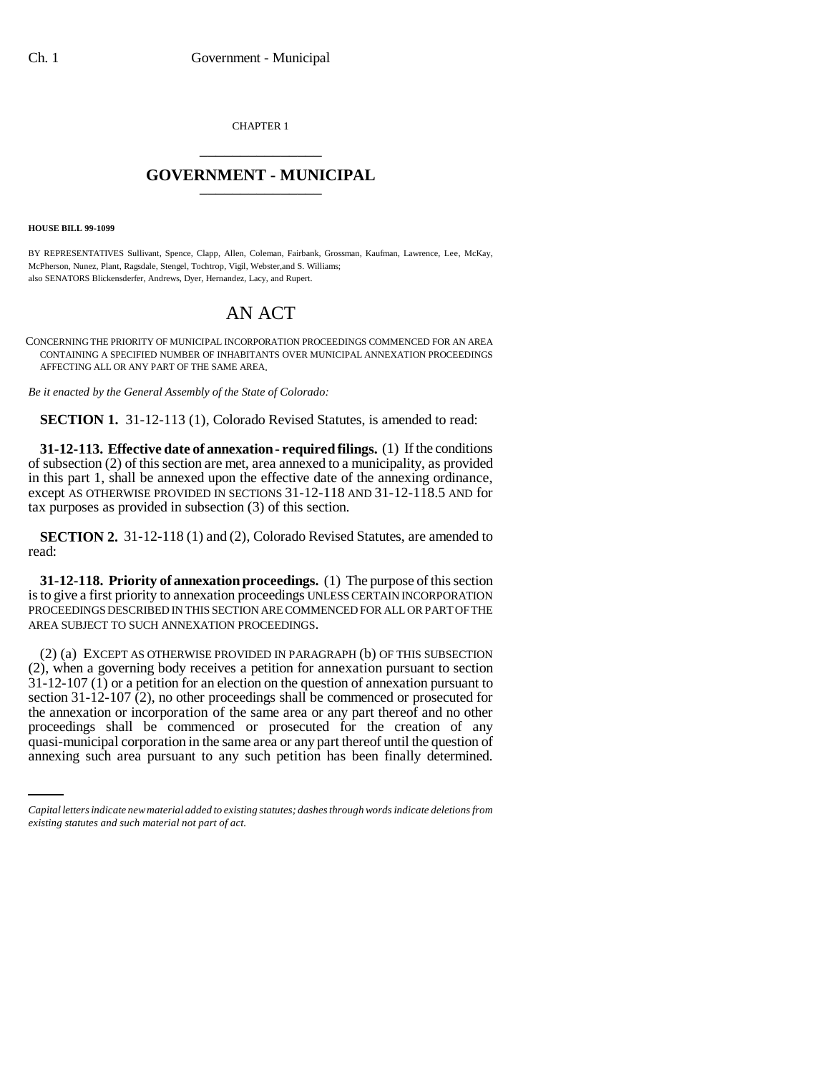CHAPTER 1 \_\_\_\_\_\_\_\_\_\_\_\_\_\_\_

## **GOVERNMENT - MUNICIPAL** \_\_\_\_\_\_\_\_\_\_\_\_\_\_\_

**HOUSE BILL 99-1099** 

BY REPRESENTATIVES Sullivant, Spence, Clapp, Allen, Coleman, Fairbank, Grossman, Kaufman, Lawrence, Lee, McKay, McPherson, Nunez, Plant, Ragsdale, Stengel, Tochtrop, Vigil, Webster,and S. Williams; also SENATORS Blickensderfer, Andrews, Dyer, Hernandez, Lacy, and Rupert.

## AN ACT

CONCERNING THE PRIORITY OF MUNICIPAL INCORPORATION PROCEEDINGS COMMENCED FOR AN AREA CONTAINING A SPECIFIED NUMBER OF INHABITANTS OVER MUNICIPAL ANNEXATION PROCEEDINGS AFFECTING ALL OR ANY PART OF THE SAME AREA.

*Be it enacted by the General Assembly of the State of Colorado:*

**SECTION 1.** 31-12-113 (1), Colorado Revised Statutes, is amended to read:

**31-12-113. Effective date of annexation - required filings.** (1) If the conditions of subsection (2) of this section are met, area annexed to a municipality, as provided in this part 1, shall be annexed upon the effective date of the annexing ordinance, except AS OTHERWISE PROVIDED IN SECTIONS 31-12-118 AND 31-12-118.5 AND for tax purposes as provided in subsection (3) of this section.

**SECTION 2.** 31-12-118 (1) and (2), Colorado Revised Statutes, are amended to read:

**31-12-118. Priority of annexation proceedings.** (1) The purpose of this section is to give a first priority to annexation proceedings UNLESS CERTAIN INCORPORATION PROCEEDINGS DESCRIBED IN THIS SECTION ARE COMMENCED FOR ALL OR PART OF THE AREA SUBJECT TO SUCH ANNEXATION PROCEEDINGS.

proceedings shall be commenced or prosecuted for the creation of any (2) (a) EXCEPT AS OTHERWISE PROVIDED IN PARAGRAPH (b) OF THIS SUBSECTION (2), when a governing body receives a petition for annexation pursuant to section  $31-12-107$  (1) or a petition for an election on the question of annexation pursuant to section 31-12-107 (2), no other proceedings shall be commenced or prosecuted for the annexation or incorporation of the same area or any part thereof and no other quasi-municipal corporation in the same area or any part thereof until the question of annexing such area pursuant to any such petition has been finally determined.

*Capital letters indicate new material added to existing statutes; dashes through words indicate deletions from existing statutes and such material not part of act.*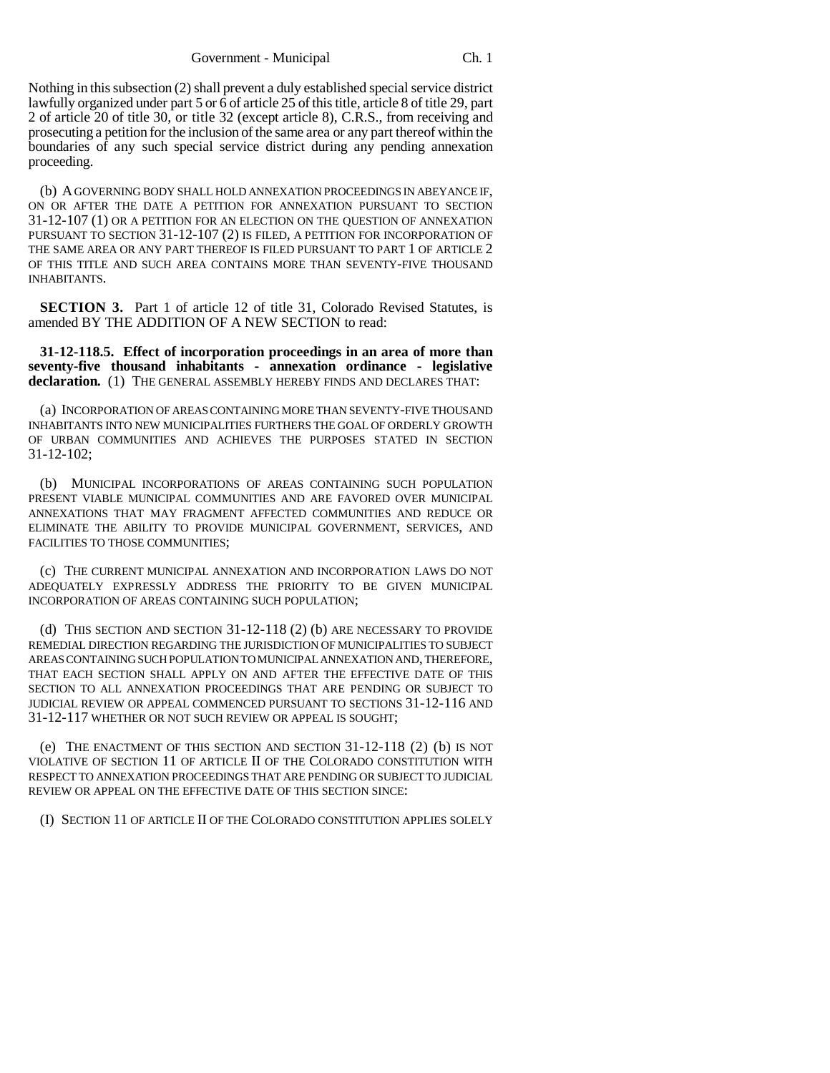Nothing in this subsection (2) shall prevent a duly established special service district lawfully organized under part 5 or 6 of article 25 of this title, article 8 of title 29, part 2 of article 20 of title 30, or title 32 (except article 8), C.R.S., from receiving and prosecuting a petition for the inclusion of the same area or any part thereof within the boundaries of any such special service district during any pending annexation proceeding.

(b) A GOVERNING BODY SHALL HOLD ANNEXATION PROCEEDINGS IN ABEYANCE IF, ON OR AFTER THE DATE A PETITION FOR ANNEXATION PURSUANT TO SECTION 31-12-107 (1) OR A PETITION FOR AN ELECTION ON THE QUESTION OF ANNEXATION PURSUANT TO SECTION 31-12-107 (2) IS FILED, A PETITION FOR INCORPORATION OF THE SAME AREA OR ANY PART THEREOF IS FILED PURSUANT TO PART 1 OF ARTICLE 2 OF THIS TITLE AND SUCH AREA CONTAINS MORE THAN SEVENTY-FIVE THOUSAND INHABITANTS.

**SECTION 3.** Part 1 of article 12 of title 31, Colorado Revised Statutes, is amended BY THE ADDITION OF A NEW SECTION to read:

**31-12-118.5. Effect of incorporation proceedings in an area of more than seventy-five thousand inhabitants - annexation ordinance - legislative declaration.** (1) THE GENERAL ASSEMBLY HEREBY FINDS AND DECLARES THAT:

(a) INCORPORATION OF AREAS CONTAINING MORE THAN SEVENTY-FIVE THOUSAND INHABITANTS INTO NEW MUNICIPALITIES FURTHERS THE GOAL OF ORDERLY GROWTH OF URBAN COMMUNITIES AND ACHIEVES THE PURPOSES STATED IN SECTION 31-12-102;

(b) MUNICIPAL INCORPORATIONS OF AREAS CONTAINING SUCH POPULATION PRESENT VIABLE MUNICIPAL COMMUNITIES AND ARE FAVORED OVER MUNICIPAL ANNEXATIONS THAT MAY FRAGMENT AFFECTED COMMUNITIES AND REDUCE OR ELIMINATE THE ABILITY TO PROVIDE MUNICIPAL GOVERNMENT, SERVICES, AND FACILITIES TO THOSE COMMUNITIES;

(c) THE CURRENT MUNICIPAL ANNEXATION AND INCORPORATION LAWS DO NOT ADEQUATELY EXPRESSLY ADDRESS THE PRIORITY TO BE GIVEN MUNICIPAL INCORPORATION OF AREAS CONTAINING SUCH POPULATION;

(d) THIS SECTION AND SECTION 31-12-118 (2) (b) ARE NECESSARY TO PROVIDE REMEDIAL DIRECTION REGARDING THE JURISDICTION OF MUNICIPALITIES TO SUBJECT AREAS CONTAINING SUCH POPULATION TO MUNICIPAL ANNEXATION AND, THEREFORE, THAT EACH SECTION SHALL APPLY ON AND AFTER THE EFFECTIVE DATE OF THIS SECTION TO ALL ANNEXATION PROCEEDINGS THAT ARE PENDING OR SUBJECT TO JUDICIAL REVIEW OR APPEAL COMMENCED PURSUANT TO SECTIONS 31-12-116 AND 31-12-117 WHETHER OR NOT SUCH REVIEW OR APPEAL IS SOUGHT;

(e) THE ENACTMENT OF THIS SECTION AND SECTION 31-12-118 (2) (b) IS NOT VIOLATIVE OF SECTION 11 OF ARTICLE II OF THE COLORADO CONSTITUTION WITH RESPECT TO ANNEXATION PROCEEDINGS THAT ARE PENDING OR SUBJECT TO JUDICIAL REVIEW OR APPEAL ON THE EFFECTIVE DATE OF THIS SECTION SINCE:

(I) SECTION 11 OF ARTICLE II OF THE COLORADO CONSTITUTION APPLIES SOLELY